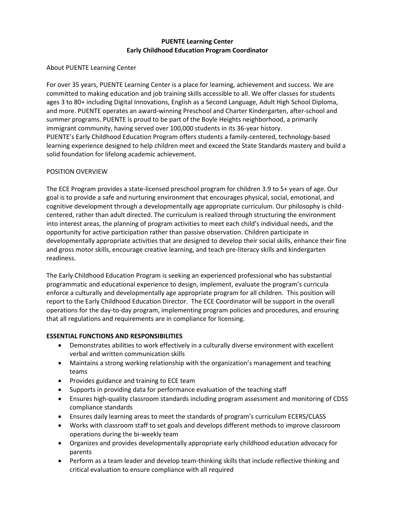# **PUENTE Learning Center Early Childhood Education Program Coordinator**

## About PUENTE Learning Center

For over 35 years, PUENTE Learning Center is a place for learning, achievement and success. We are committed to making education and job training skills accessible to all. We offer classes for students ages 3 to 80+ including Digital Innovations, English as a Second Language, Adult High School Diploma, and more. PUENTE operates an award-winning Preschool and Charter Kindergarten, after-school and summer programs. PUENTE is proud to be part of the Boyle Heights neighborhood, a primarily immigrant community, having served over 100,000 students in its 36-year history. PUENTE's Early Childhood Education Program offers students a family-centered, technology-based learning experience designed to help children meet and exceed the State Standards mastery and build a solid foundation for lifelong academic achievement.

## POSITION OVERVIEW

The ECE Program provides a state-licensed preschool program for children 3.9 to 5+ years of age. Our goal is to provide a safe and nurturing environment that encourages physical, social, emotional, and cognitive development through a developmentally age appropriate curriculum. Our philosophy is childcentered, rather than adult directed. The curriculum is realized through structuring the environment into interest areas, the planning of program activities to meet each child's individual needs, and the opportunity for active participation rather than passive observation. Children participate in developmentally appropriate activities that are designed to develop their social skills, enhance their fine and gross motor skills, encourage creative learning, and teach pre-literacy skills and kindergarten readiness.

The Early Childhood Education Program is seeking an experienced professional who has substantial programmatic and educational experience to design, implement, evaluate the program's curricula enforce a culturally and developmentally age appropriate program for all children. This position will report to the Early Childhood Education Director. The ECE Coordinator will be support in the overall operations for the day-to-day program, implementing program policies and procedures, and ensuring that all regulations and requirements are in compliance for licensing.

### **ESSENTIAL FUNCTIONS AND RESPONSIBILITIES**

- Demonstrates abilities to work effectively in a culturally diverse environment with excellent verbal and written communication skills
- Maintains a strong working relationship with the organization's management and teaching teams
- Provides guidance and training to ECE team
- Supports in providing data for performance evaluation of the teaching staff
- Ensures high-quality classroom standards including program assessment and monitoring of CDSS compliance standards
- Ensures daily learning areas to meet the standards of program's curriculum ECERS/CLASS
- Works with classroom staff to set goals and develops different methods to improve classroom operations during the bi-weekly team
- Organizes and provides developmentally appropriate early childhood education advocacy for parents
- Perform as a team leader and develop team-thinking skills that include reflective thinking and critical evaluation to ensure compliance with all required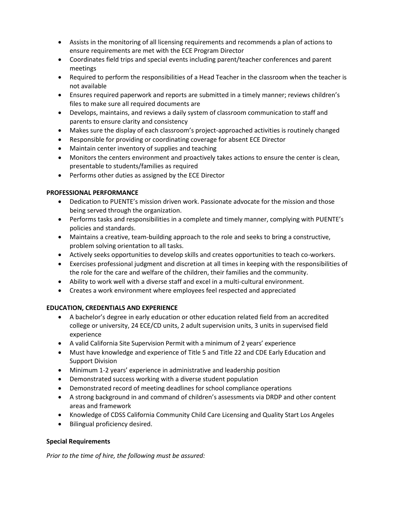- Assists in the monitoring of all licensing requirements and recommends a plan of actions to ensure requirements are met with the ECE Program Director
- Coordinates field trips and special events including parent/teacher conferences and parent meetings
- Required to perform the responsibilities of a Head Teacher in the classroom when the teacher is not available
- Ensures required paperwork and reports are submitted in a timely manner; reviews children's files to make sure all required documents are
- Develops, maintains, and reviews a daily system of classroom communication to staff and parents to ensure clarity and consistency
- Makes sure the display of each classroom's project-approached activities is routinely changed
- Responsible for providing or coordinating coverage for absent ECE Director
- Maintain center inventory of supplies and teaching
- Monitors the centers environment and proactively takes actions to ensure the center is clean, presentable to students/families as required
- Performs other duties as assigned by the ECE Director

### **PROFESSIONAL PERFORMANCE**

- Dedication to PUENTE's mission driven work. Passionate advocate for the mission and those being served through the organization.
- Performs tasks and responsibilities in a complete and timely manner, complying with PUENTE's policies and standards.
- Maintains a creative, team-building approach to the role and seeks to bring a constructive, problem solving orientation to all tasks.
- Actively seeks opportunities to develop skills and creates opportunities to teach co-workers.
- Exercises professional judgment and discretion at all times in keeping with the responsibilities of the role for the care and welfare of the children, their families and the community.
- Ability to work well with a diverse staff and excel in a multi-cultural environment.
- Creates a work environment where employees feel respected and appreciated

### **EDUCATION, CREDENTIALS AND EXPERIENCE**

- A bachelor's degree in early education or other education related field from an accredited college or university, 24 ECE/CD units, 2 adult supervision units, 3 units in supervised field experience
- A valid California Site Supervision Permit with a minimum of 2 years' experience
- Must have knowledge and experience of Title 5 and Title 22 and CDE Early Education and Support Division
- Minimum 1-2 years' experience in administrative and leadership position
- Demonstrated success working with a diverse student population
- Demonstrated record of meeting deadlines for school compliance operations
- A strong background in and command of children's assessments via DRDP and other content areas and framework
- Knowledge of CDSS California Community Child Care Licensing and Quality Start Los Angeles
- Bilingual proficiency desired.

### **Special Requirements**

*Prior to the time of hire, the following must be assured:*